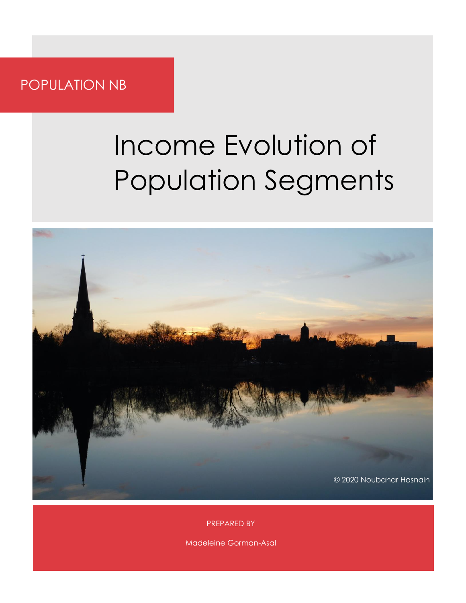POPULATION NB

# Income Evolution of Population Segments



PREPARED BY

Madeleine Gorman-Asal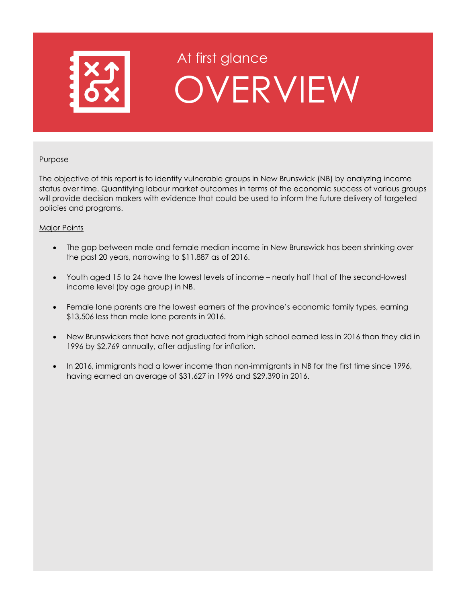

# At first glance OVERVIEW

#### **Purpose**

The objective of this report is to identify vulnerable groups in New Brunswick (NB) by analyzing income status over time. Quantifying labour market outcomes in terms of the economic success of various groups will provide decision makers with evidence that could be used to inform the future delivery of targeted policies and programs.

#### Major Points

- The gap between male and female median income in New Brunswick has been shrinking over the past 20 years, narrowing to \$11,887 as of 2016.
- Youth aged 15 to 24 have the lowest levels of income nearly half that of the second-lowest income level (by age group) in NB.
- Female lone parents are the lowest earners of the province's economic family types, earning \$13,506 less than male lone parents in 2016.
- New Brunswickers that have not graduated from high school earned less in 2016 than they did in 1996 by \$2,769 annually, after adjusting for inflation.
- In 2016, immigrants had a lower income than non-immigrants in NB for the first time since 1996, having earned an average of \$31,627 in 1996 and \$29,390 in 2016.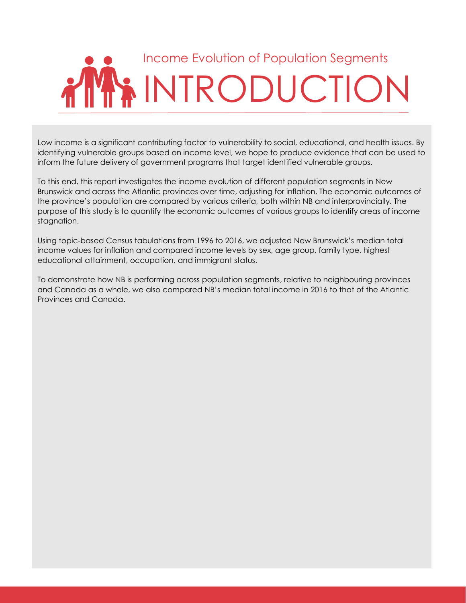# Income Evolution of Population Segments INTRODUCTION

Low income is a significant contributing factor to vulnerability to social, educational, and health issues. By identifying vulnerable groups based on income level, we hope to produce evidence that can be used to inform the future delivery of government programs that target identified vulnerable groups.

To this end, this report investigates the income evolution of different population segments in New Brunswick and across the Atlantic provinces over time, adjusting for inflation. The economic outcomes of the province's population are compared by various criteria, both within NB and interprovincially. The purpose of this study is to quantify the economic outcomes of various groups to identify areas of income stagnation.

Using topic-based Census tabulations from 1996 to 2016, we adjusted New Brunswick's median total income values for inflation and compared income levels by sex, age group, family type, highest educational attainment, occupation, and immigrant status.

To demonstrate how NB is performing across population segments, relative to neighbouring provinces and Canada as a whole, we also compared NB's median total income in 2016 to that of the Atlantic Provinces and Canada.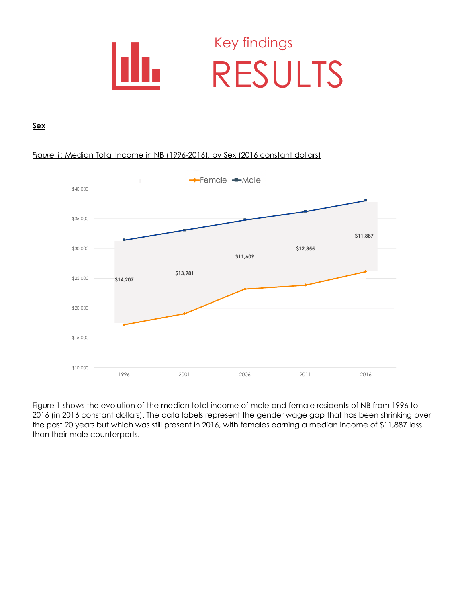

### Key findings RESULTS

#### **Sex**

#### *Figure 1:* Median Total Income in NB (1996-2016), by Sex (2016 constant dollars)



Figure 1 shows the evolution of the median total income of male and female residents of NB from 1996 to 2016 (in 2016 constant dollars). The data labels represent the gender wage gap that has been shrinking over the past 20 years but which was still present in 2016, with females earning a median income of \$11,887 less than their male counterparts.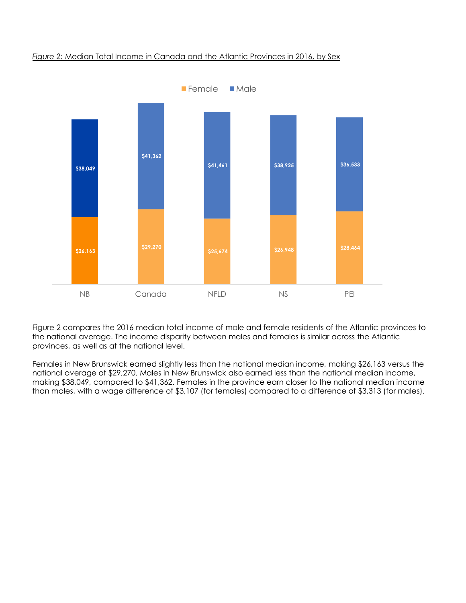#### *Figure 2:* Median Total Income in Canada and the Atlantic Provinces in 2016, by Sex



Figure 2 compares the 2016 median total income of male and female residents of the Atlantic provinces to the national average. The income disparity between males and females is similar across the Atlantic provinces, as well as at the national level.

Females in New Brunswick earned slightly less than the national median income, making \$26,163 versus the national average of \$29,270. Males in New Brunswick also earned less than the national median income, making \$38,049, compared to \$41,362. Females in the province earn closer to the national median income than males, with a wage difference of \$3,107 (for females) compared to a difference of \$3,313 (for males).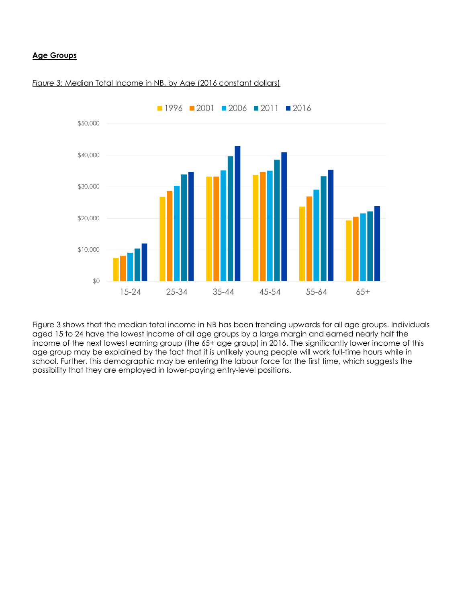#### **Age Groups**



#### *Figure 3:* Median Total Income in NB, by Age (2016 constant dollars)

Figure 3 shows that the median total income in NB has been trending upwards for all age groups. Individuals aged 15 to 24 have the lowest income of all age groups by a large margin and earned nearly half the income of the next lowest earning group (the 65+ age group) in 2016. The significantly lower income of this age group may be explained by the fact that it is unlikely young people will work full-time hours while in school. Further, this demographic may be entering the labour force for the first time, which suggests the possibility that they are employed in lower-paying entry-level positions.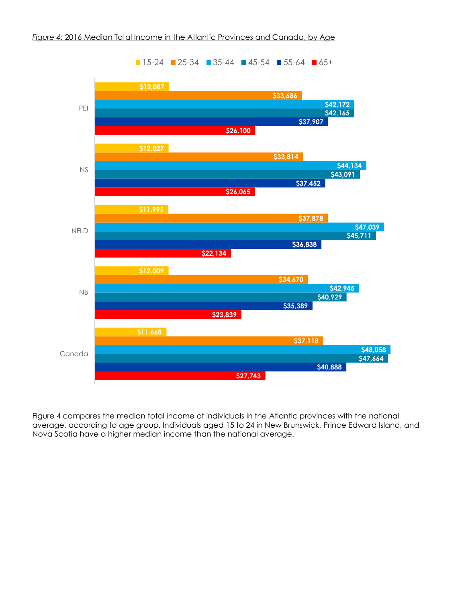

Figure 4 compares the median total income of individuals in the Atlantic provinces with the national average, according to age group. Individuals aged 15 to 24 in New Brunswick, Prince Edward Island, and Nova Scotia have a higher median income than the national average.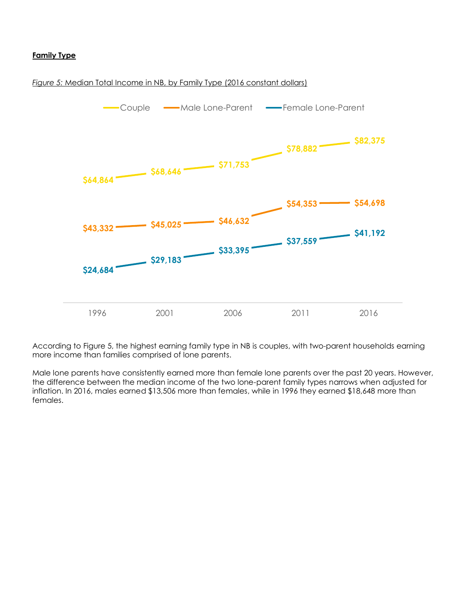#### **Family Type**





According to Figure 5, the highest earning family type in NB is couples, with two-parent households earning more income than families comprised of lone parents.

Male lone parents have consistently earned more than female lone parents over the past 20 years. However, the difference between the median income of the two lone-parent family types narrows when adjusted for inflation. In 2016, males earned \$13,506 more than females, while in 1996 they earned \$18,648 more than females.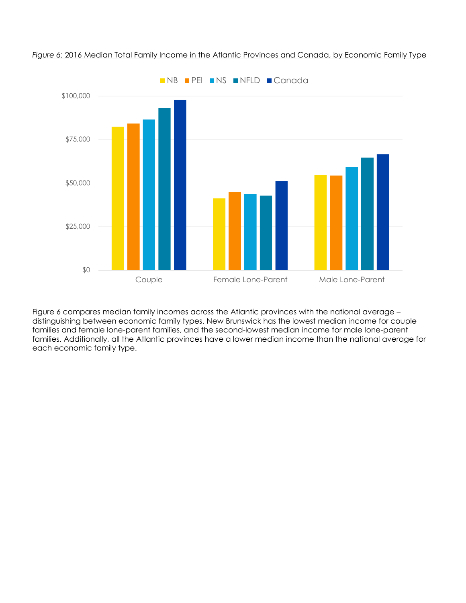

*Figure 6:* 2016 Median Total Family Income in the Atlantic Provinces and Canada, by Economic Family Type

Figure 6 compares median family incomes across the Atlantic provinces with the national average – distinguishing between economic family types. New Brunswick has the lowest median income for couple families and female lone-parent families, and the second-lowest median income for male lone-parent families. Additionally, all the Atlantic provinces have a lower median income than the national average for each economic family type.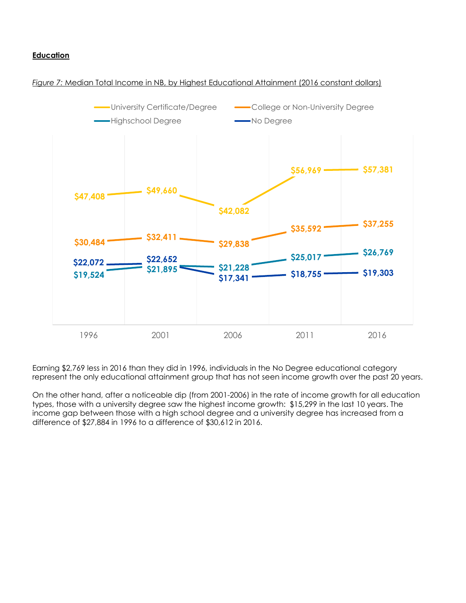#### **Education**

#### *Figure 7:* Median Total Income in NB, by Highest Educational Attainment (2016 constant dollars)



Earning \$2,769 less in 2016 than they did in 1996, individuals in the No Degree educational category represent the only educational attainment group that has not seen income growth over the past 20 years.

On the other hand, after a noticeable dip (from 2001-2006) in the rate of income growth for all education types, those with a university degree saw the highest income growth: \$15,299 in the last 10 years. The income gap between those with a high school degree and a university degree has increased from a difference of \$27,884 in 1996 to a difference of \$30,612 in 2016.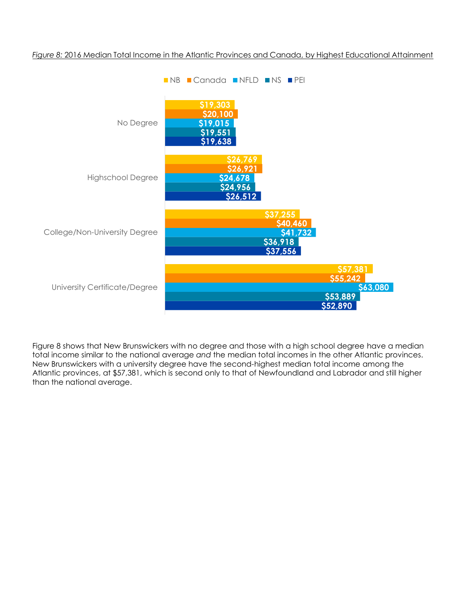

#### *Figure 8:* 2016 Median Total Income in the Atlantic Provinces and Canada, by Highest Educational Attainment

Figure 8 shows that New Brunswickers with no degree and those with a high school degree have a median total income similar to the national average *and* the median total incomes in the other Atlantic provinces. New Brunswickers with a university degree have the second-highest median total income among the Atlantic provinces, at \$57,381, which is second only to that of Newfoundland and Labrador and still higher than the national average.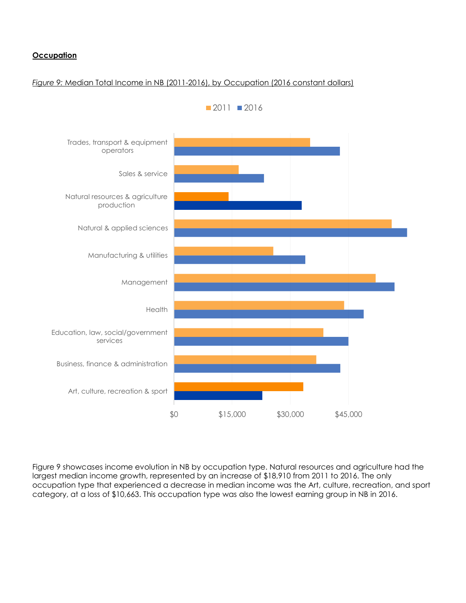#### **Occupation**

#### *Figure 9:* Median Total Income in NB (2011-2016), by Occupation (2016 constant dollars)



Figure 9 showcases income evolution in NB by occupation type. Natural resources and agriculture had the largest median income growth, represented by an increase of \$18,910 from 2011 to 2016. The only occupation type that experienced a decrease in median income was the Art, culture, recreation, and sport category, at a loss of \$10,663. This occupation type was also the lowest earning group in NB in 2016.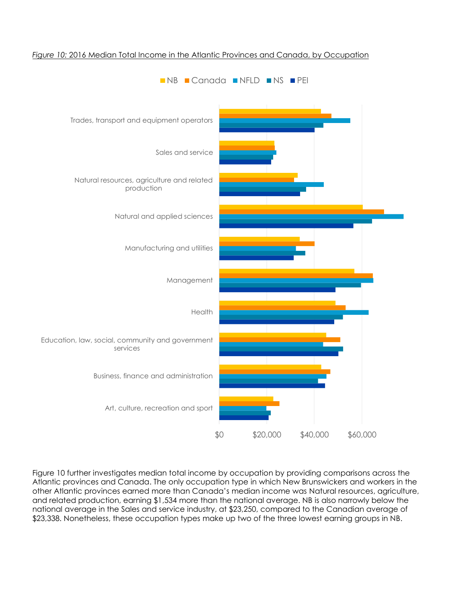

#### *Figure 10:* 2016 Median Total Income in the Atlantic Provinces and Canada, by Occupation

Figure 10 further investigates median total income by occupation by providing comparisons across the Atlantic provinces and Canada. The only occupation type in which New Brunswickers and workers in the other Atlantic provinces earned more than Canada's median income was Natural resources, agriculture, and related production, earning \$1,534 more than the national average. NB is also narrowly below the national average in the Sales and service industry, at \$23,250, compared to the Canadian average of \$23,338. Nonetheless, these occupation types make up two of the three lowest earning groups in NB.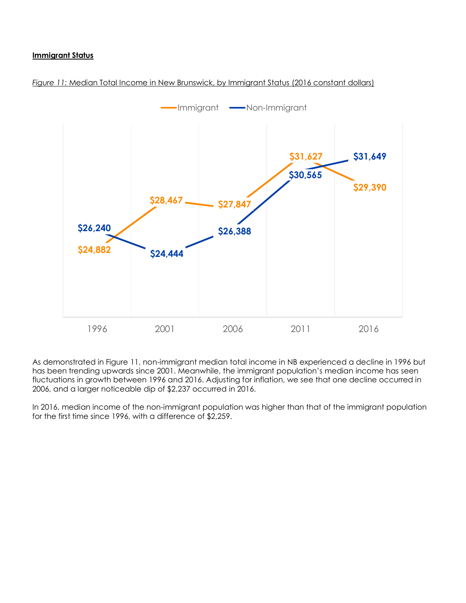#### **Immigrant Status**





As demonstrated in Figure 11, non-immigrant median total income in NB experienced a decline in 1996 but has been trending upwards since 2001. Meanwhile, the immigrant population's median income has seen fluctuations in growth between 1996 and 2016. Adjusting for inflation, we see that one decline occurred in 2006, and a larger noticeable dip of \$2,237 occurred in 2016.

In 2016, median income of the non-immigrant population was higher than that of the immigrant population for the first time since 1996, with a difference of \$2,259.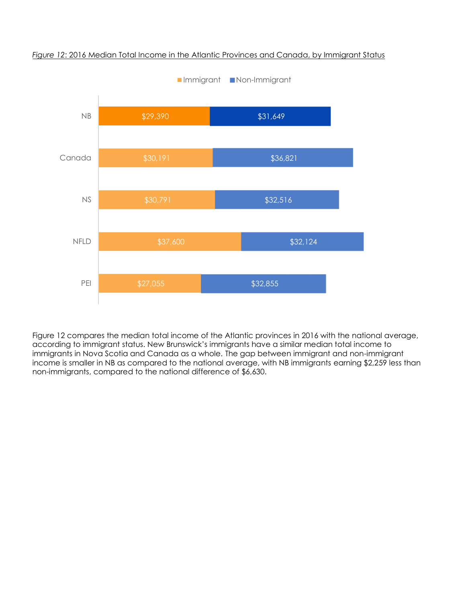

*Figure 12*: 2016 Median Total Income in the Atlantic Provinces and Canada, by Immigrant Status

Figure 12 compares the median total income of the Atlantic provinces in 2016 with the national average, according to immigrant status. New Brunswick's immigrants have a similar median total income to immigrants in Nova Scotia and Canada as a whole. The gap between immigrant and non-immigrant income is smaller in NB as compared to the national average, with NB immigrants earning \$2,259 less than non-immigrants, compared to the national difference of \$6,630.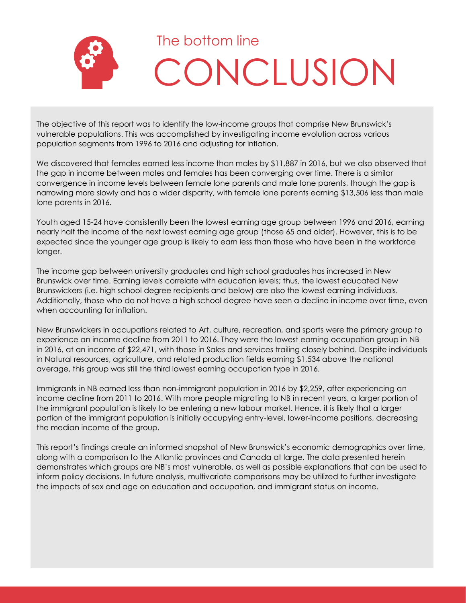

The objective of this report was to identify the low-income groups that comprise New Brunswick's vulnerable populations. This was accomplished by investigating income evolution across various population segments from 1996 to 2016 and adjusting for inflation.

We discovered that females earned less income than males by \$11,887 in 2016, but we also observed that the gap in income between males and females has been converging over time. There is a similar convergence in income levels between female lone parents and male lone parents, though the gap is narrowing more slowly and has a wider disparity, with female lone parents earning \$13,506 less than male lone parents in 2016.

Youth aged 15-24 have consistently been the lowest earning age group between 1996 and 2016, earning nearly half the income of the next lowest earning age group (those 65 and older). However, this is to be expected since the younger age group is likely to earn less than those who have been in the workforce longer.

The income gap between university graduates and high school graduates has increased in New Brunswick over time. Earning levels correlate with education levels; thus, the lowest educated New Brunswickers (i.e. high school degree recipients and below) are also the lowest earning individuals. Additionally, those who do not have a high school degree have seen a decline in income over time, even when accounting for inflation.

New Brunswickers in occupations related to Art, culture, recreation, and sports were the primary group to experience an income decline from 2011 to 2016. They were the lowest earning occupation group in NB in 2016, at an income of \$22,471, with those in Sales and services trailing closely behind. Despite individuals in Natural resources, agriculture, and related production fields earning \$1,534 above the national average, this group was still the third lowest earning occupation type in 2016.

Immigrants in NB earned less than non-immigrant population in 2016 by \$2,259, after experiencing an income decline from 2011 to 2016. With more people migrating to NB in recent years, a larger portion of the immigrant population is likely to be entering a new labour market. Hence, it is likely that a larger portion of the immigrant population is initially occupying entry-level, lower-income positions, decreasing the median income of the group.

This report's findings create an informed snapshot of New Brunswick's economic demographics over time, along with a comparison to the Atlantic provinces and Canada at large. The data presented herein demonstrates which groups are NB's most vulnerable, as well as possible explanations that can be used to inform policy decisions. In future analysis, multivariate comparisons may be utilized to further investigate the impacts of sex and age on education and occupation, and immigrant status on income.